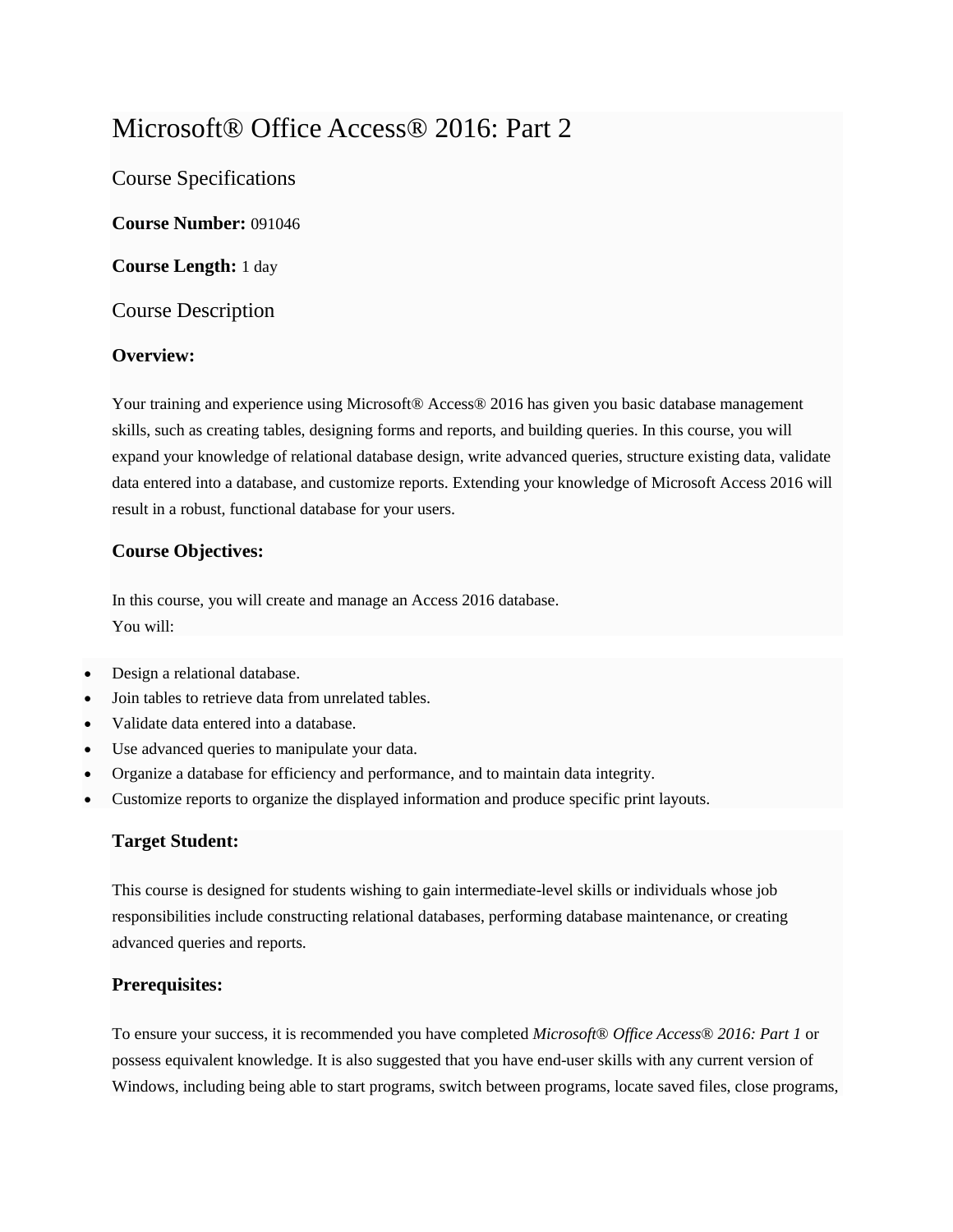# Microsoft® Office Access® 2016: Part 2

Course Specifications

**Course Number:** 091046

**Course Length:** 1 day

Course Description

# **Overview:**

Your training and experience using Microsoft® Access® 2016 has given you basic database management skills, such as creating tables, designing forms and reports, and building queries. In this course, you will expand your knowledge of relational database design, write advanced queries, structure existing data, validate data entered into a database, and customize reports. Extending your knowledge of Microsoft Access 2016 will result in a robust, functional database for your users.

# **Course Objectives:**

In this course, you will create and manage an Access 2016 database. You will:

- Design a relational database.
- Join tables to retrieve data from unrelated tables.
- Validate data entered into a database.
- Use advanced queries to manipulate your data.
- Organize a database for efficiency and performance, and to maintain data integrity.
- Customize reports to organize the displayed information and produce specific print layouts.

#### **Target Student:**

This course is designed for students wishing to gain intermediate-level skills or individuals whose job responsibilities include constructing relational databases, performing database maintenance, or creating advanced queries and reports.

#### **Prerequisites:**

To ensure your success, it is recommended you have completed *Microsoft® Office Access® 2016: Part 1* or possess equivalent knowledge. It is also suggested that you have end-user skills with any current version of Windows, including being able to start programs, switch between programs, locate saved files, close programs,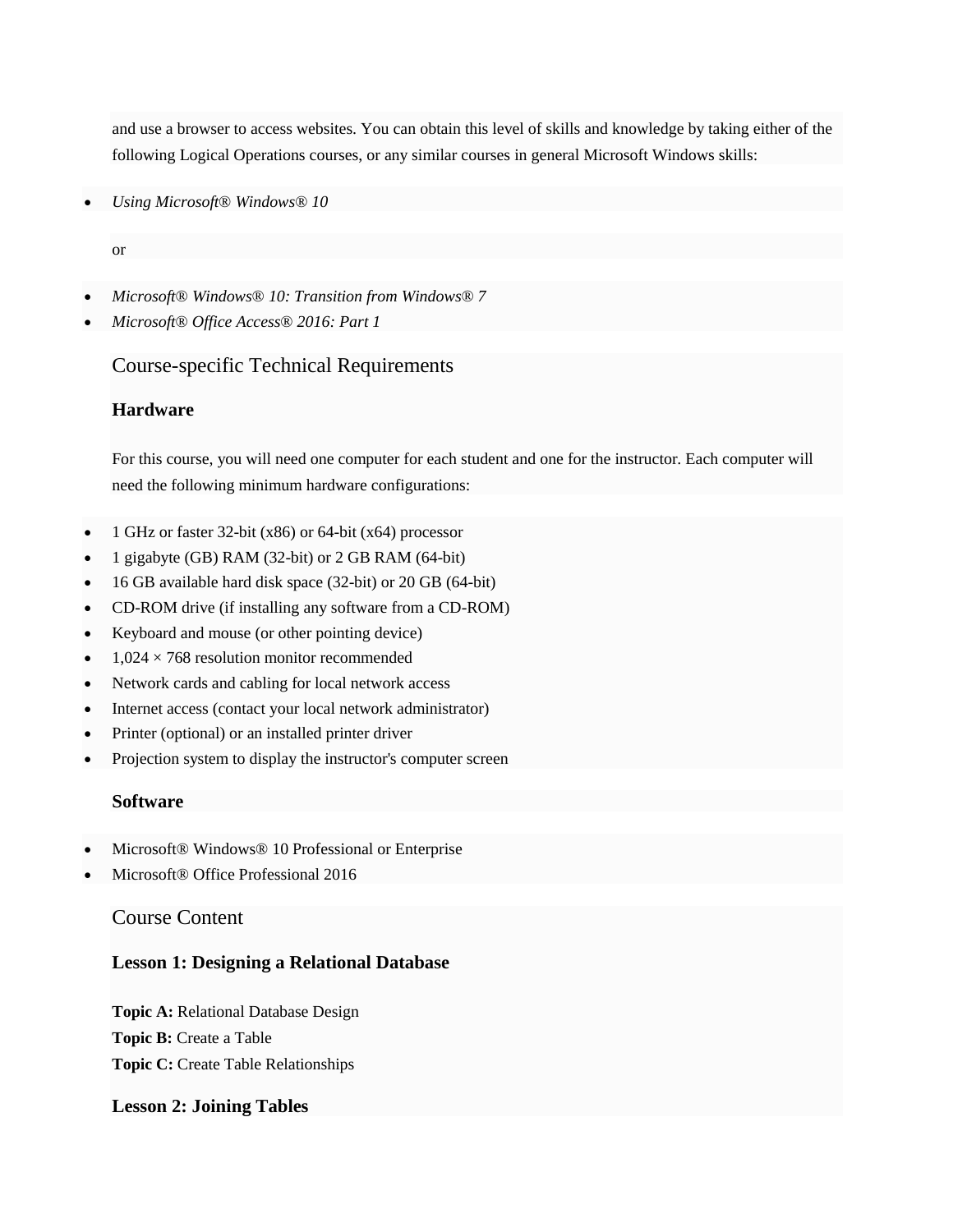and use a browser to access websites. You can obtain this level of skills and knowledge by taking either of the following Logical Operations courses, or any similar courses in general Microsoft Windows skills:

*Using Microsoft® Windows® 10*

or

- *Microsoft® Windows® 10: Transition from Windows® 7*
- *Microsoft® Office Access® 2016: Part 1*

# Course-specific Technical Requirements

# **Hardware**

For this course, you will need one computer for each student and one for the instructor. Each computer will need the following minimum hardware configurations:

- 1 GHz or faster 32-bit (x86) or 64-bit (x64) processor
- 1 gigabyte (GB) RAM (32-bit) or 2 GB RAM (64-bit)
- 16 GB available hard disk space (32-bit) or 20 GB (64-bit)
- CD-ROM drive (if installing any software from a CD-ROM)
- Keyboard and mouse (or other pointing device)
- $1,024 \times 768$  resolution monitor recommended
- Network cards and cabling for local network access
- Internet access (contact your local network administrator)
- Printer (optional) or an installed printer driver
- Projection system to display the instructor's computer screen

#### **Software**

- Microsoft® Windows® 10 Professional or Enterprise
- Microsoft® Office Professional 2016

# Course Content

# **Lesson 1: Designing a Relational Database**

**Topic A:** Relational Database Design **Topic B:** Create a Table **Topic C:** Create Table Relationships

#### **Lesson 2: Joining Tables**